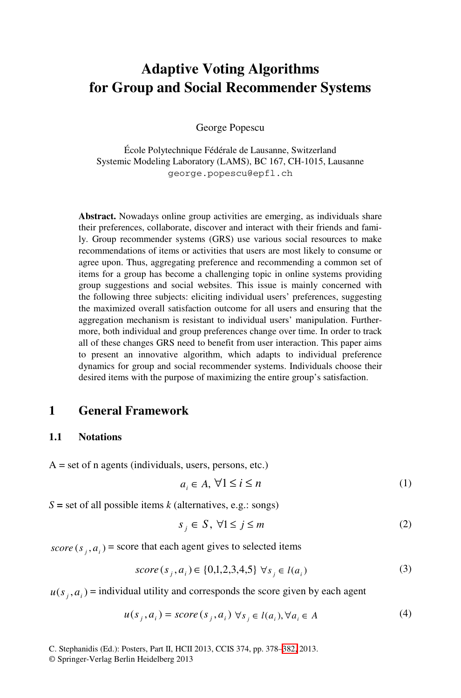# **Adaptive Voting Algorithms for Group and Social Recommender Systems**

George Popescu

École Polytechnique Fédérale de Lausanne, Switzerland Systemic Modeling Laboratory (LAMS), BC 167, CH-1015, Lausanne george.popescu@epfl.ch

**Abstract.** Nowadays online group activities are emerging, as individuals share their preferences, collaborate, discover and interact with their friends and family. Group recommender systems (GRS) use various social resources to make recommendations of items or activities that users are most likely to consume or agree upon. Thus, aggregating preference and recommending a common set of items for a group has become a challenging topic in online systems providing group suggestions and social websites. This issue is mainly concerned with the following three subjects: eliciting individual users' preferences, suggesting the maximized overall satisfaction outcome for all users and ensuring that the aggregation mechanism is resistant to individual users' manipulation. Furthermore, both individual and group preferences change over time. In order to track all of these changes GRS need to benefit from user interaction. This paper aims to present an innovative algorithm, which adapts to individual preference dynamics for group and social recommender systems. Individuals choose their desired items with the purpose of maximizing the entire group's satisfaction.

### **1 General Framework**

#### **1.1 Notations**

 $A = set of n agents (individuals, users, persons, etc.)$ 

$$
a_i \in A, \,\forall 1 \le i \le n \tag{1}
$$

 $S =$  set of all possible items *k* (alternatives, e.g.: songs)

$$
s_j \in S, \ \forall 1 \le j \le m \tag{2}
$$

 $score(s_i, a_i)$  = score that each age[nt gi](#page-4-0)ves to selected items

$$
score(s_j, a_i) \in \{0, 1, 2, 3, 4, 5\} \forall s_j \in l(a_i)
$$
\n(3)

 $u(s_i, a_i)$  = individual utility and corresponds the score given by each agent

$$
u(s_j, a_i) = score(s_j, a_i) \,\forall s_j \in l(a_i), \forall a_i \in A
$$
 (4)

C. Stephanidis (Ed.): Posters, Part II, HCII 2013, CCIS 374, pp. 378–382, 2013.

© Springer-Verlag Berlin Heidelberg 2013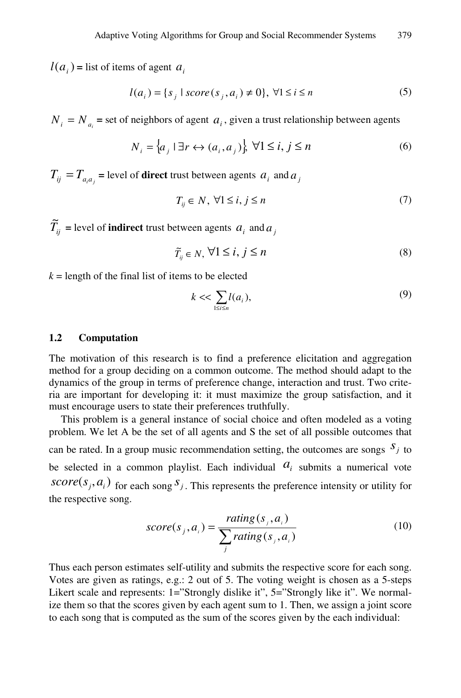$l(a_i)$  = list of items of agent  $a_i$ 

$$
l(a_i) = \{s_j \mid score(s_j, a_i) \neq 0\}, \ \forall 1 \le i \le n
$$
\n
$$
(5)
$$

 $N_i = N_a$  = set of neighbors of agent  $a_i$ , given a trust relationship between agents

$$
N_i = \{a_j \mid \exists r \leftrightarrow (a_i, a_j)\} \ \forall 1 \le i, j \le n \tag{6}
$$

 $T_{ii} = T_{a}$  = level of **direct** trust between agents  $a_i$  and  $a_j$ 

$$
T_{ij} \in N, \ \forall 1 \le i, j \le n \tag{7}
$$

 $\widetilde{T}_{ij}$  = level of **indirect** trust between agents  $a_i$  and  $a_j$ 

$$
\widetilde{T}_{ij} \in N, \,\forall 1 \le i, \, j \le n \tag{8}
$$

 $k =$  length of the final list of items to be elected

$$
k \ll \sum_{1 \le i \le n} l(a_i),\tag{9}
$$

#### **1.2 Computation**

The motivation of this research is to find a preference elicitation and aggregation method for a group deciding on a common outcome. The method should adapt to the dynamics of the group in terms of preference change, interaction and trust. Two criteria are important for developing it: it must maximize the group satisfaction, and it must encourage users to state their preferences truthfully.

This problem is a general instance of social choice and often modeled as a voting problem. We let A be the set of all agents and S the set of all possible outcomes that can be rated. In a group music recommendation setting, the outcomes are songs  $S_j$  to be selected in a common playlist. Each individual  $a_i$  submits a numerical vote *score*( $s_j$ ,  $a_i$ ) for each song  $s_j$ . This represents the preference intensity or utility for the respective song.

$$
score(s_j, a_i) = \frac{rating(s_j, a_i)}{\sum_j rating(s_j, a_i)}
$$
(10)

Thus each person estimates self-utility and submits the respective score for each song. Votes are given as ratings, e.g.: 2 out of 5. The voting weight is chosen as a 5-steps Likert scale and represents: 1="Strongly dislike it", 5="Strongly like it". We normalize them so that the scores given by each agent sum to 1. Then, we assign a joint score to each song that is computed as the sum of the scores given by the each individual: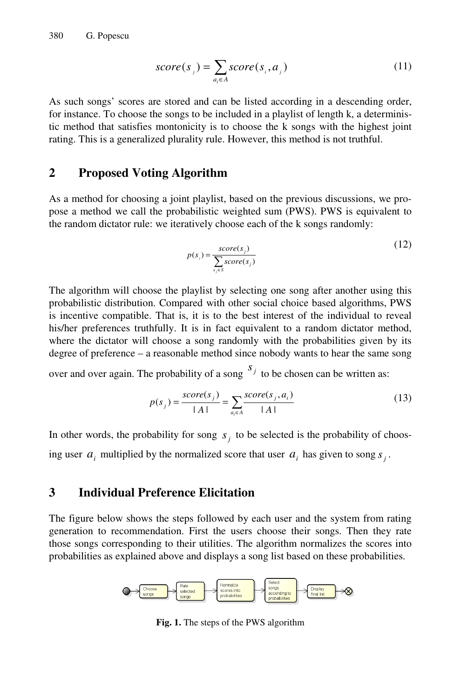$$
score(sj) = \sum_{a_i \in A} score(si, aj)
$$
\n(11)

As such songs' scores are stored and can be listed according in a descending order, for instance. To choose the songs to be included in a playlist of length k, a deterministic method that satisfies montonicity is to choose the k songs with the highest joint rating. This is a generalized plurality rule. However, this method is not truthful.

## **2 Proposed Voting Algorithm**

As a method for choosing a joint playlist, based on the previous discussions, we propose a method we call the probabilistic weighted sum (PWS). PWS is equivalent to the random dictator rule: we iteratively choose each of the k songs randomly:

$$
p(s_j) = \frac{score(s_j)}{\sum_{s_j \in S} score(s_j)}
$$
(12)

The algorithm will choose the playlist by selecting one song after another using this probabilistic distribution. Compared with other social choice based algorithms, PWS is incentive compatible. That is, it is to the best interest of the individual to reveal his/her preferences truthfully. It is in fact equivalent to a random dictator method, where the dictator will choose a song randomly with the probabilities given by its degree of preference – a reasonable method since nobody wants to hear the same song

over and over again. The probability of a song  $S_j$  to be chosen can be written as:

$$
p(s_j) = \frac{score(s_j)}{|A|} = \sum_{a_i \in A} \frac{score(s_j, a_i)}{|A|}
$$
 (13)

In other words, the probability for song  $s_i$  to be selected is the probability of choosing user  $a_i$  multiplied by the normalized score that user  $a_i$  has given to song  $s_i$ .

# **3 Individual Preference Elicitation**

The figure below shows the steps followed by each user and the system from rating generation to recommendation. First the users choose their songs. Then they rate those songs corresponding to their utilities. The algorithm normalizes the scores into probabilities as explained above and displays a song list based on these probabilities.



**Fig. 1.** The steps of the PWS algorithm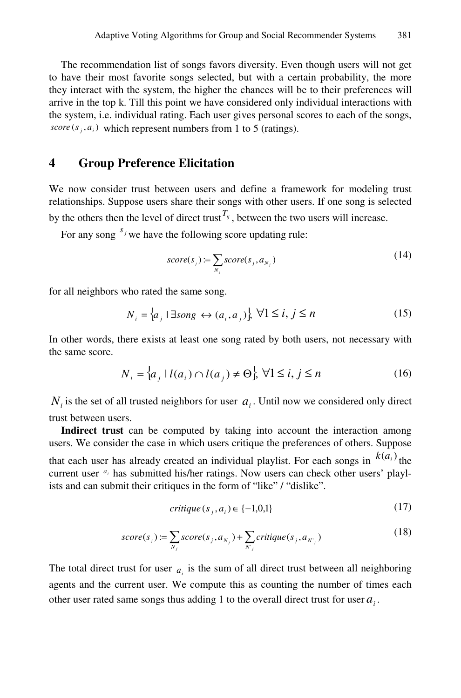The recommendation list of songs favors diversity. Even though users will not get to have their most favorite songs selected, but with a certain probability, the more they interact with the system, the higher the chances will be to their preferences will arrive in the top k. Till this point we have considered only individual interactions with the system, i.e. individual rating. Each user gives personal scores to each of the songs,  $score(s_i, a_i)$  which represent numbers from 1 to 5 (ratings).

# **4 Group Preference Elicitation**

We now consider trust between users and define a framework for modeling trust relationships. Suppose users share their songs with other users. If one song is selected by the others then the level of direct trust<sup> $T_{ij}$ </sup>, between the two users will increase.

For any song  $s_j$  we have the following score updating rule:

$$
score(sj) := \sum_{N_j} score(s_j, a_{N_j})
$$
\n(14)

for all neighbors who rated the same song.

$$
N_i = \{a_j \mid \exists \text{song} \leftrightarrow (a_i, a_j)\} \ \forall 1 \le i, j \le n \tag{15}
$$

In other words, there exists at least one song rated by both users, not necessary with the same score.

$$
N_i = \left\{ a_j \mid l(a_i) \cap l(a_j) \neq \Theta \right\}, \forall 1 \le i, j \le n \tag{16}
$$

 $N_i$  is the set of all trusted neighbors for user  $a_i$ . Until now we considered only direct trust between users.

**Indirect trust** can be computed by taking into account the interaction among users. We consider the case in which users critique the preferences of others. Suppose that each user has already created an individual playlist. For each songs in  $k(a_i)$  the current user  $a_i$  has submitted his/her ratings. Now users can check other users' playlists and can submit their critiques in the form of "like" / "dislike".

$$
critique(s_j, a_i) \in \{-1, 0, 1\}
$$
\n<sup>(17)</sup>

$$
score(sj) := \sum_{N_j} score(s_j, a_{N_j}) + \sum_{N'_{j}} critique(s_j, a_{N'_{j}})
$$
\n(18)

The total direct trust for user  $a_i$  is the sum of all direct trust between all neighboring agents and the current user. We compute this as counting the number of times each other user rated same songs thus adding 1 to the overall direct trust for user  $a_i$ .